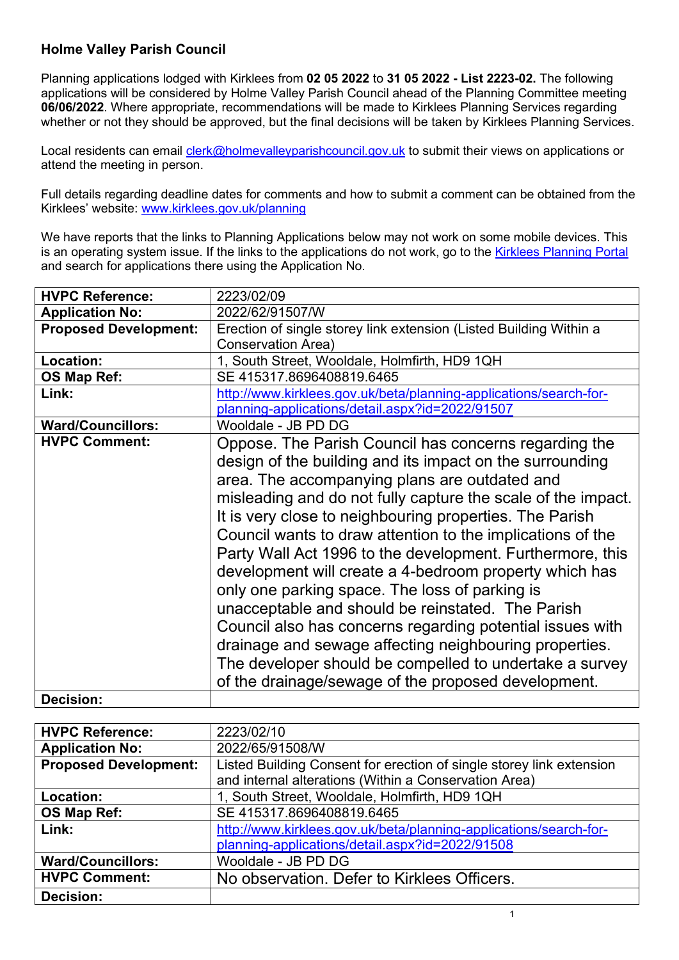## Holme Valley Parish Council

Planning applications lodged with Kirklees from 02 05 2022 to 31 05 2022 - List 2223-02. The following applications will be considered by Holme Valley Parish Council ahead of the Planning Committee meeting 06/06/2022. Where appropriate, recommendations will be made to Kirklees Planning Services regarding whether or not they should be approved, but the final decisions will be taken by Kirklees Planning Services.

Local residents can email clerk@holmevalleyparishcouncil.gov.uk to submit their views on applications or attend the meeting in person.

Full details regarding deadline dates for comments and how to submit a comment can be obtained from the Kirklees' website: www.kirklees.gov.uk/planning

We have reports that the links to Planning Applications below may not work on some mobile devices. This is an operating system issue. If the links to the applications do not work, go to the Kirklees Planning Portal and search for applications there using the Application No.

| <b>HVPC Reference:</b>       | 2223/02/09                                                         |
|------------------------------|--------------------------------------------------------------------|
| <b>Application No:</b>       | 2022/62/91507/W                                                    |
| <b>Proposed Development:</b> | Erection of single storey link extension (Listed Building Within a |
|                              | <b>Conservation Area)</b>                                          |
| Location:                    | 1, South Street, Wooldale, Holmfirth, HD9 1QH                      |
| OS Map Ref:                  | SE 415317.8696408819.6465                                          |
| Link:                        | http://www.kirklees.gov.uk/beta/planning-applications/search-for-  |
|                              | planning-applications/detail.aspx?id=2022/91507                    |
| <b>Ward/Councillors:</b>     | Wooldale - JB PD DG                                                |
| <b>HVPC Comment:</b>         | Oppose. The Parish Council has concerns regarding the              |
|                              | design of the building and its impact on the surrounding           |
|                              | area. The accompanying plans are outdated and                      |
|                              | misleading and do not fully capture the scale of the impact.       |
|                              |                                                                    |
|                              | It is very close to neighbouring properties. The Parish            |
|                              | Council wants to draw attention to the implications of the         |
|                              | Party Wall Act 1996 to the development. Furthermore, this          |
|                              | development will create a 4-bedroom property which has             |
|                              | only one parking space. The loss of parking is                     |
|                              | unacceptable and should be reinstated. The Parish                  |
|                              | Council also has concerns regarding potential issues with          |
|                              |                                                                    |
|                              | drainage and sewage affecting neighbouring properties.             |
|                              | The developer should be compelled to undertake a survey            |
|                              | of the drainage/sewage of the proposed development.                |
| Decision:                    |                                                                    |

| <b>HVPC Reference:</b>       | 2223/02/10                                                           |
|------------------------------|----------------------------------------------------------------------|
| <b>Application No:</b>       | 2022/65/91508/W                                                      |
| <b>Proposed Development:</b> | Listed Building Consent for erection of single storey link extension |
|                              | and internal alterations (Within a Conservation Area)                |
| Location:                    | 1, South Street, Wooldale, Holmfirth, HD9 1QH                        |
| OS Map Ref:                  | SE 415317.8696408819.6465                                            |
| Link:                        | http://www.kirklees.gov.uk/beta/planning-applications/search-for-    |
|                              | planning-applications/detail.aspx?id=2022/91508                      |
| <b>Ward/Councillors:</b>     | Wooldale - JB PD DG                                                  |
| <b>HVPC Comment:</b>         | No observation. Defer to Kirklees Officers.                          |
| <b>Decision:</b>             |                                                                      |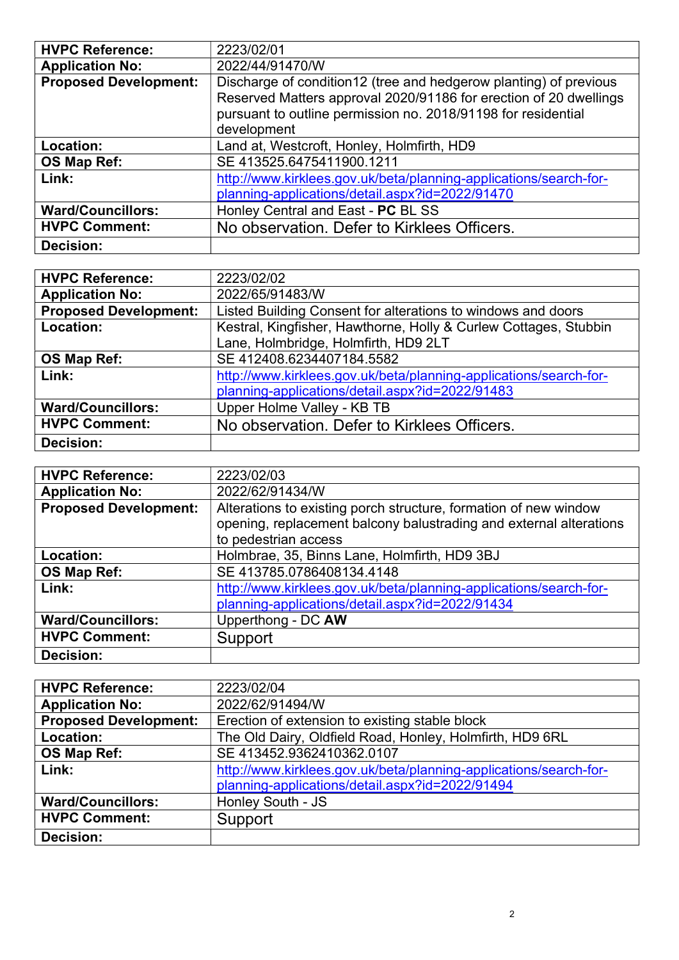| <b>HVPC Reference:</b>       | 2223/02/01                                                                                                                                                                                                             |
|------------------------------|------------------------------------------------------------------------------------------------------------------------------------------------------------------------------------------------------------------------|
| <b>Application No:</b>       | 2022/44/91470/W                                                                                                                                                                                                        |
| <b>Proposed Development:</b> | Discharge of condition12 (tree and hedgerow planting) of previous<br>Reserved Matters approval 2020/91186 for erection of 20 dwellings<br>pursuant to outline permission no. 2018/91198 for residential<br>development |
| Location:                    | Land at, Westcroft, Honley, Holmfirth, HD9                                                                                                                                                                             |
| OS Map Ref:                  | SE 413525.6475411900.1211                                                                                                                                                                                              |
| Link:                        | http://www.kirklees.gov.uk/beta/planning-applications/search-for-<br>planning-applications/detail.aspx?id=2022/91470                                                                                                   |
| <b>Ward/Councillors:</b>     | Honley Central and East - PC BL SS                                                                                                                                                                                     |
| <b>HVPC Comment:</b>         | No observation. Defer to Kirklees Officers.                                                                                                                                                                            |
| <b>Decision:</b>             |                                                                                                                                                                                                                        |

| <b>HVPC Reference:</b>       | 2223/02/02                                                        |
|------------------------------|-------------------------------------------------------------------|
| <b>Application No:</b>       | 2022/65/91483/W                                                   |
| <b>Proposed Development:</b> | Listed Building Consent for alterations to windows and doors      |
| Location:                    | Kestral, Kingfisher, Hawthorne, Holly & Curlew Cottages, Stubbin  |
|                              | Lane, Holmbridge, Holmfirth, HD9 2LT                              |
| OS Map Ref:                  | SE 412408.6234407184.5582                                         |
| Link:                        | http://www.kirklees.gov.uk/beta/planning-applications/search-for- |
|                              | planning-applications/detail.aspx?id=2022/91483                   |
| <b>Ward/Councillors:</b>     | Upper Holme Valley - KB TB                                        |
| <b>HVPC Comment:</b>         | No observation. Defer to Kirklees Officers.                       |
| Decision:                    |                                                                   |

| <b>HVPC Reference:</b>       | 2223/02/03                                                                                                                                                     |
|------------------------------|----------------------------------------------------------------------------------------------------------------------------------------------------------------|
| <b>Application No:</b>       | 2022/62/91434/W                                                                                                                                                |
| <b>Proposed Development:</b> | Alterations to existing porch structure, formation of new window<br>opening, replacement balcony balustrading and external alterations<br>to pedestrian access |
| Location:                    | Holmbrae, 35, Binns Lane, Holmfirth, HD9 3BJ                                                                                                                   |
| OS Map Ref:                  | SE 413785.0786408134.4148                                                                                                                                      |
| Link:                        | http://www.kirklees.gov.uk/beta/planning-applications/search-for-<br>planning-applications/detail.aspx?id=2022/91434                                           |
| <b>Ward/Councillors:</b>     | Upperthong - DC AW                                                                                                                                             |
| <b>HVPC Comment:</b>         | Support                                                                                                                                                        |
| <b>Decision:</b>             |                                                                                                                                                                |

| <b>HVPC Reference:</b>       | 2223/02/04                                                        |
|------------------------------|-------------------------------------------------------------------|
| <b>Application No:</b>       | 2022/62/91494/W                                                   |
| <b>Proposed Development:</b> | Erection of extension to existing stable block                    |
| Location:                    | The Old Dairy, Oldfield Road, Honley, Holmfirth, HD9 6RL          |
| <b>OS Map Ref:</b>           | SE 413452.9362410362.0107                                         |
| Link:                        | http://www.kirklees.gov.uk/beta/planning-applications/search-for- |
|                              | planning-applications/detail.aspx?id=2022/91494                   |
| <b>Ward/Councillors:</b>     | Honley South - JS                                                 |
| <b>HVPC Comment:</b>         | Support                                                           |
| <b>Decision:</b>             |                                                                   |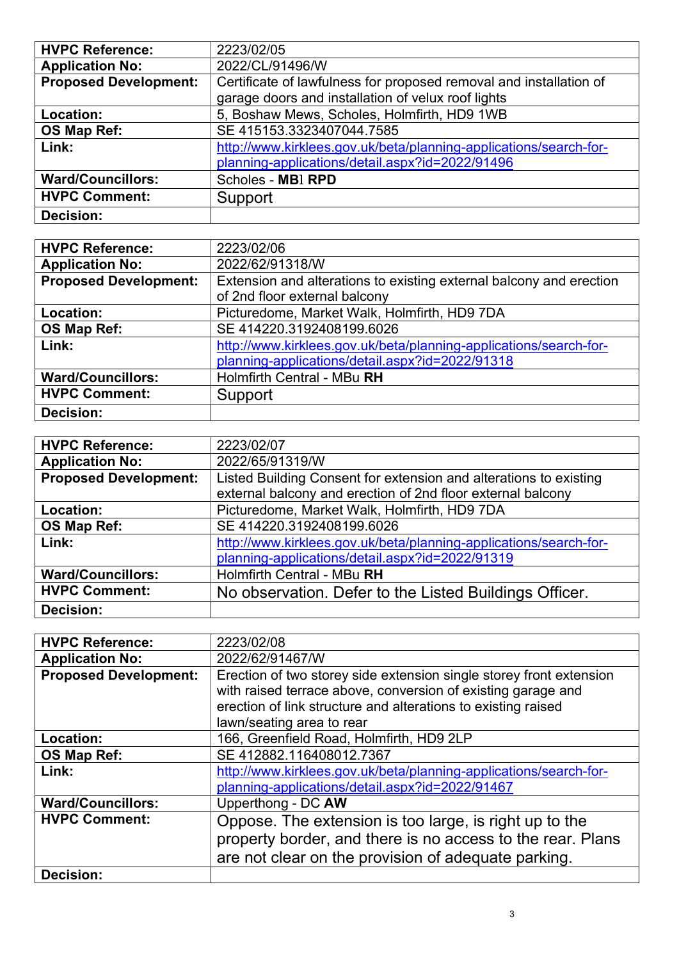| <b>HVPC Reference:</b>       | 2223/02/05                                                         |
|------------------------------|--------------------------------------------------------------------|
| <b>Application No:</b>       | 2022/CL/91496/W                                                    |
| <b>Proposed Development:</b> | Certificate of lawfulness for proposed removal and installation of |
|                              | garage doors and installation of velux roof lights                 |
| Location:                    | 5, Boshaw Mews, Scholes, Holmfirth, HD9 1WB                        |
| OS Map Ref:                  | SE 415153.3323407044.7585                                          |
| Link:                        | http://www.kirklees.gov.uk/beta/planning-applications/search-for-  |
|                              | planning-applications/detail.aspx?id=2022/91496                    |
| <b>Ward/Councillors:</b>     | Scholes - MBI RPD                                                  |
| <b>HVPC Comment:</b>         | Support                                                            |
| Decision:                    |                                                                    |

| <b>HVPC Reference:</b>       | 2223/02/06                                                          |
|------------------------------|---------------------------------------------------------------------|
| <b>Application No:</b>       | 2022/62/91318/W                                                     |
| <b>Proposed Development:</b> | Extension and alterations to existing external balcony and erection |
|                              | of 2nd floor external balcony                                       |
| Location:                    | Picturedome, Market Walk, Holmfirth, HD9 7DA                        |
| OS Map Ref:                  | SE 414220.3192408199.6026                                           |
| Link:                        | http://www.kirklees.gov.uk/beta/planning-applications/search-for-   |
|                              | planning-applications/detail.aspx?id=2022/91318                     |
| <b>Ward/Councillors:</b>     | Holmfirth Central - MBu RH                                          |
| <b>HVPC Comment:</b>         | Support                                                             |
| <b>Decision:</b>             |                                                                     |

| <b>HVPC Reference:</b>       | 2223/02/07                                                        |
|------------------------------|-------------------------------------------------------------------|
| <b>Application No:</b>       | 2022/65/91319/W                                                   |
| <b>Proposed Development:</b> | Listed Building Consent for extension and alterations to existing |
|                              | external balcony and erection of 2nd floor external balcony       |
| Location:                    | Picturedome, Market Walk, Holmfirth, HD9 7DA                      |
| OS Map Ref:                  | SE 414220.3192408199.6026                                         |
| Link:                        | http://www.kirklees.gov.uk/beta/planning-applications/search-for- |
|                              | planning-applications/detail.aspx?id=2022/91319                   |
| <b>Ward/Councillors:</b>     | Holmfirth Central - MBu RH                                        |
| <b>HVPC Comment:</b>         | No observation. Defer to the Listed Buildings Officer.            |
| <b>Decision:</b>             |                                                                   |

| <b>HVPC Reference:</b>       | 2223/02/08                                                          |
|------------------------------|---------------------------------------------------------------------|
| <b>Application No:</b>       | 2022/62/91467/W                                                     |
| <b>Proposed Development:</b> | Erection of two storey side extension single storey front extension |
|                              | with raised terrace above, conversion of existing garage and        |
|                              | erection of link structure and alterations to existing raised       |
|                              | lawn/seating area to rear                                           |
| Location:                    | 166, Greenfield Road, Holmfirth, HD9 2LP                            |
| OS Map Ref:                  | SE 412882.116408012.7367                                            |
| Link:                        | http://www.kirklees.gov.uk/beta/planning-applications/search-for-   |
|                              | planning-applications/detail.aspx?id=2022/91467                     |
| <b>Ward/Councillors:</b>     | Upperthong - DC AW                                                  |
| <b>HVPC Comment:</b>         | Oppose. The extension is too large, is right up to the              |
|                              | property border, and there is no access to the rear. Plans          |
|                              | are not clear on the provision of adequate parking.                 |
| <b>Decision:</b>             |                                                                     |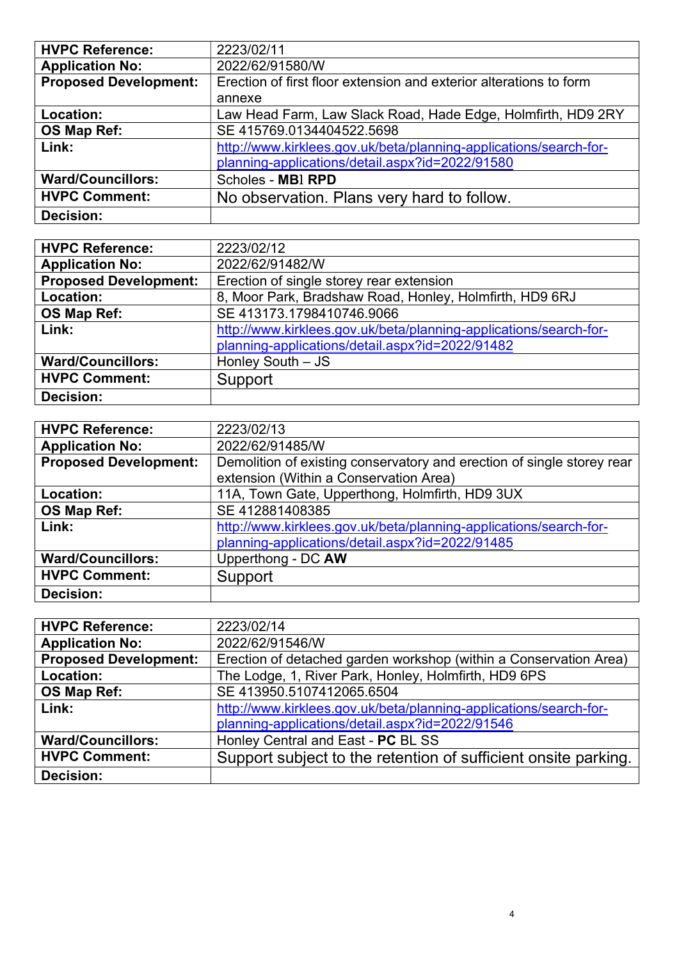| <b>HVPC Reference:</b>       | 2223/02/11                                                         |
|------------------------------|--------------------------------------------------------------------|
| <b>Application No:</b>       | 2022/62/91580/W                                                    |
| <b>Proposed Development:</b> | Erection of first floor extension and exterior alterations to form |
|                              | annexe                                                             |
| Location:                    | Law Head Farm, Law Slack Road, Hade Edge, Holmfirth, HD9 2RY       |
| OS Map Ref:                  | SE 415769.0134404522.5698                                          |
| Link:                        | http://www.kirklees.gov.uk/beta/planning-applications/search-for-  |
|                              | planning-applications/detail.aspx?id=2022/91580                    |
| <b>Ward/Councillors:</b>     | Scholes - MBI RPD                                                  |
| <b>HVPC Comment:</b>         | No observation. Plans very hard to follow.                         |
| Decision:                    |                                                                    |

| <b>HVPC Reference:</b>       | 2223/02/12                                                        |
|------------------------------|-------------------------------------------------------------------|
| <b>Application No:</b>       | 2022/62/91482/W                                                   |
| <b>Proposed Development:</b> | Erection of single storey rear extension                          |
| Location:                    | 8, Moor Park, Bradshaw Road, Honley, Holmfirth, HD9 6RJ           |
| OS Map Ref:                  | SE 413173.1798410746.9066                                         |
| Link:                        | http://www.kirklees.gov.uk/beta/planning-applications/search-for- |
|                              | planning-applications/detail.aspx?id=2022/91482                   |
| <b>Ward/Councillors:</b>     | Honley South - JS                                                 |
| <b>HVPC Comment:</b>         | Support                                                           |
| <b>Decision:</b>             |                                                                   |

| <b>HVPC Reference:</b>       | 2223/02/13                                                             |
|------------------------------|------------------------------------------------------------------------|
| <b>Application No:</b>       | 2022/62/91485/W                                                        |
| <b>Proposed Development:</b> | Demolition of existing conservatory and erection of single storey rear |
|                              | extension (Within a Conservation Area)                                 |
| Location:                    | 11A, Town Gate, Upperthong, Holmfirth, HD9 3UX                         |
| OS Map Ref:                  | SE 412881408385                                                        |
| Link:                        | http://www.kirklees.gov.uk/beta/planning-applications/search-for-      |
|                              | planning-applications/detail.aspx?id=2022/91485                        |
| <b>Ward/Councillors:</b>     | Upperthong - DC AW                                                     |
| <b>HVPC Comment:</b>         | Support                                                                |
| <b>Decision:</b>             |                                                                        |

| <b>HVPC Reference:</b>       | 2223/02/14                                                        |
|------------------------------|-------------------------------------------------------------------|
| <b>Application No:</b>       | 2022/62/91546/W                                                   |
| <b>Proposed Development:</b> | Erection of detached garden workshop (within a Conservation Area) |
| Location:                    | The Lodge, 1, River Park, Honley, Holmfirth, HD9 6PS              |
| OS Map Ref:                  | SE 413950.5107412065.6504                                         |
| Link:                        | http://www.kirklees.gov.uk/beta/planning-applications/search-for- |
|                              | planning-applications/detail.aspx?id=2022/91546                   |
| <b>Ward/Councillors:</b>     | Honley Central and East - PC BL SS                                |
| <b>HVPC Comment:</b>         | Support subject to the retention of sufficient onsite parking.    |
| <b>Decision:</b>             |                                                                   |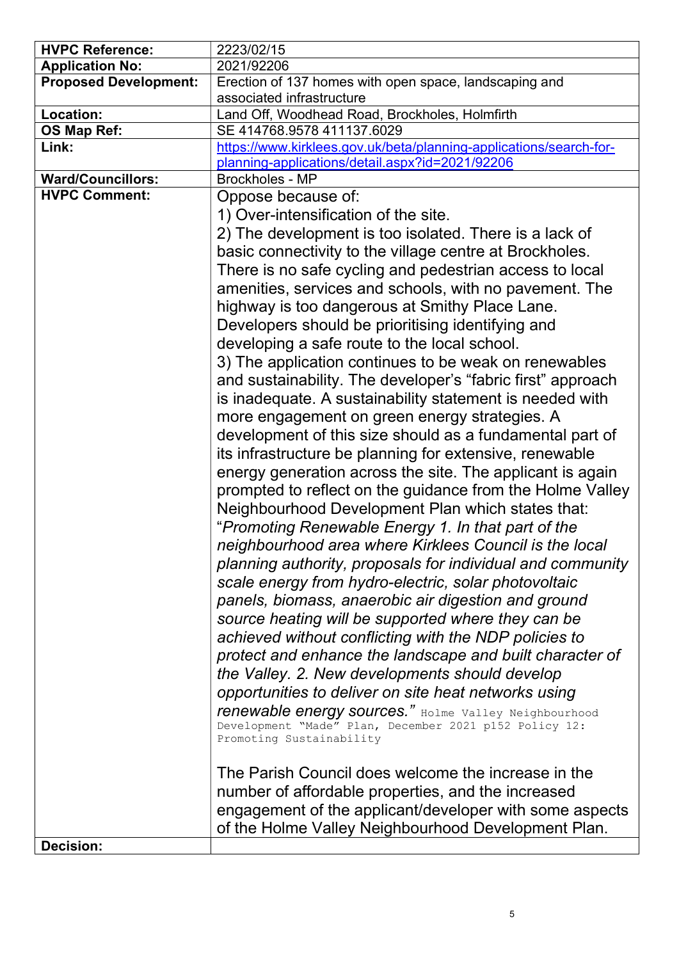| <b>HVPC Reference:</b>                           | 2223/02/15                                                                                                      |
|--------------------------------------------------|-----------------------------------------------------------------------------------------------------------------|
| <b>Application No:</b>                           | 2021/92206                                                                                                      |
| <b>Proposed Development:</b>                     | Erection of 137 homes with open space, landscaping and                                                          |
|                                                  | associated infrastructure                                                                                       |
| Location:                                        | Land Off, Woodhead Road, Brockholes, Holmfirth                                                                  |
| OS Map Ref:                                      | SE 414768.9578 411137.6029                                                                                      |
| Link:                                            | https://www.kirklees.gov.uk/beta/planning-applications/search-for-                                              |
|                                                  | planning-applications/detail.aspx?id=2021/92206                                                                 |
| <b>Ward/Councillors:</b><br><b>HVPC Comment:</b> | <b>Brockholes - MP</b>                                                                                          |
|                                                  | Oppose because of:                                                                                              |
|                                                  | 1) Over-intensification of the site.                                                                            |
|                                                  | 2) The development is too isolated. There is a lack of                                                          |
|                                                  | basic connectivity to the village centre at Brockholes.                                                         |
|                                                  | There is no safe cycling and pedestrian access to local                                                         |
|                                                  | amenities, services and schools, with no pavement. The                                                          |
|                                                  | highway is too dangerous at Smithy Place Lane.                                                                  |
|                                                  | Developers should be prioritising identifying and                                                               |
|                                                  | developing a safe route to the local school.                                                                    |
|                                                  | 3) The application continues to be weak on renewables                                                           |
|                                                  | and sustainability. The developer's "fabric first" approach                                                     |
|                                                  | is inadequate. A sustainability statement is needed with                                                        |
|                                                  | more engagement on green energy strategies. A                                                                   |
|                                                  | development of this size should as a fundamental part of                                                        |
|                                                  |                                                                                                                 |
|                                                  | its infrastructure be planning for extensive, renewable                                                         |
|                                                  | energy generation across the site. The applicant is again                                                       |
|                                                  | prompted to reflect on the guidance from the Holme Valley                                                       |
|                                                  | Neighbourhood Development Plan which states that:                                                               |
|                                                  | "Promoting Renewable Energy 1. In that part of the                                                              |
|                                                  | neighbourhood area where Kirklees Council is the local                                                          |
|                                                  | planning authority, proposals for individual and community                                                      |
|                                                  | scale energy from hydro-electric, solar photovoltaic                                                            |
|                                                  | panels, biomass, anaerobic air digestion and ground                                                             |
|                                                  | source heating will be supported where they can be                                                              |
|                                                  | achieved without conflicting with the NDP policies to                                                           |
|                                                  | protect and enhance the landscape and built character of                                                        |
|                                                  | the Valley. 2. New developments should develop                                                                  |
|                                                  |                                                                                                                 |
|                                                  | opportunities to deliver on site heat networks using                                                            |
|                                                  | renewable energy sources." Holme Valley Neighbourhood<br>Development "Made" Plan, December 2021 p152 Policy 12: |
|                                                  | Promoting Sustainability                                                                                        |
|                                                  |                                                                                                                 |
|                                                  | The Parish Council does welcome the increase in the                                                             |
|                                                  | number of affordable properties, and the increased                                                              |
|                                                  | engagement of the applicant/developer with some aspects                                                         |
|                                                  | of the Holme Valley Neighbourhood Development Plan.                                                             |
| Decision:                                        |                                                                                                                 |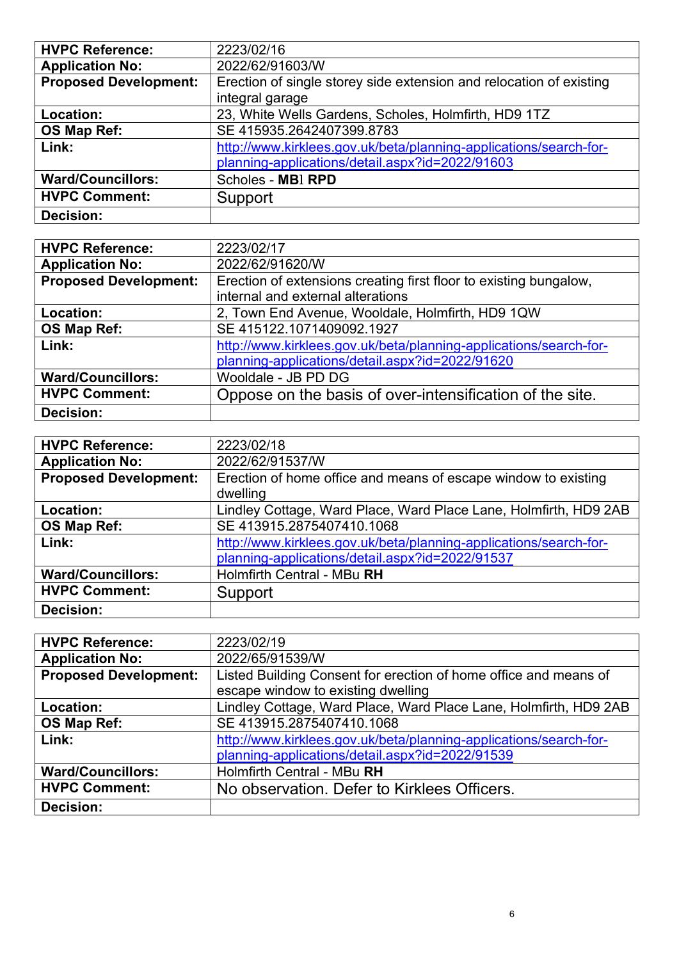| <b>HVPC Reference:</b>       | 2223/02/16                                                          |
|------------------------------|---------------------------------------------------------------------|
| <b>Application No:</b>       | 2022/62/91603/W                                                     |
| <b>Proposed Development:</b> | Erection of single storey side extension and relocation of existing |
|                              | integral garage                                                     |
| Location:                    | 23, White Wells Gardens, Scholes, Holmfirth, HD9 1TZ                |
| OS Map Ref:                  | SE 415935.2642407399.8783                                           |
| Link:                        | http://www.kirklees.gov.uk/beta/planning-applications/search-for-   |
|                              | planning-applications/detail.aspx?id=2022/91603                     |
| <b>Ward/Councillors:</b>     | Scholes - MBI RPD                                                   |
| <b>HVPC Comment:</b>         | Support                                                             |
| <b>Decision:</b>             |                                                                     |

| <b>HVPC Reference:</b>       | 2223/02/17                                                        |
|------------------------------|-------------------------------------------------------------------|
|                              |                                                                   |
| <b>Application No:</b>       | 2022/62/91620/W                                                   |
| <b>Proposed Development:</b> | Erection of extensions creating first floor to existing bungalow, |
|                              | internal and external alterations                                 |
| Location:                    | 2, Town End Avenue, Wooldale, Holmfirth, HD9 1QW                  |
| OS Map Ref:                  | SE 415122.1071409092.1927                                         |
| Link:                        | http://www.kirklees.gov.uk/beta/planning-applications/search-for- |
|                              | planning-applications/detail.aspx?id=2022/91620                   |
| <b>Ward/Councillors:</b>     | Wooldale - JB PD DG                                               |
| <b>HVPC Comment:</b>         | Oppose on the basis of over-intensification of the site.          |
| <b>Decision:</b>             |                                                                   |

| <b>HVPC Reference:</b>       | 2223/02/18                                                        |
|------------------------------|-------------------------------------------------------------------|
| <b>Application No:</b>       | 2022/62/91537/W                                                   |
| <b>Proposed Development:</b> | Erection of home office and means of escape window to existing    |
|                              | dwelling                                                          |
| Location:                    | Lindley Cottage, Ward Place, Ward Place Lane, Holmfirth, HD9 2AB  |
| OS Map Ref:                  | SE 413915.2875407410.1068                                         |
| Link:                        | http://www.kirklees.gov.uk/beta/planning-applications/search-for- |
|                              | planning-applications/detail.aspx?id=2022/91537                   |
| <b>Ward/Councillors:</b>     | Holmfirth Central - MBu RH                                        |
| <b>HVPC Comment:</b>         | Support                                                           |
| <b>Decision:</b>             |                                                                   |

| <b>HVPC Reference:</b>       | 2223/02/19                                                        |
|------------------------------|-------------------------------------------------------------------|
| <b>Application No:</b>       | 2022/65/91539/W                                                   |
| <b>Proposed Development:</b> | Listed Building Consent for erection of home office and means of  |
|                              | escape window to existing dwelling                                |
| Location:                    | Lindley Cottage, Ward Place, Ward Place Lane, Holmfirth, HD9 2AB  |
| OS Map Ref:                  | SE 413915.2875407410.1068                                         |
| Link:                        | http://www.kirklees.gov.uk/beta/planning-applications/search-for- |
|                              | planning-applications/detail.aspx?id=2022/91539                   |
| <b>Ward/Councillors:</b>     | Holmfirth Central - MBu RH                                        |
| <b>HVPC Comment:</b>         | No observation. Defer to Kirklees Officers.                       |
| <b>Decision:</b>             |                                                                   |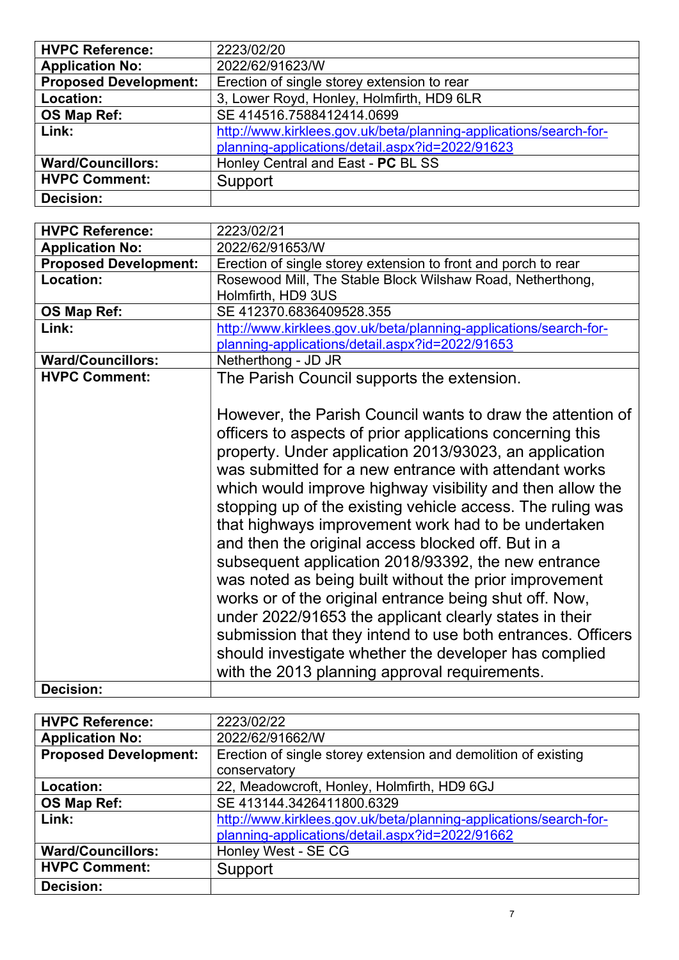| <b>HVPC Reference:</b>       | 2223/02/20                                                                                                                                                                                                                                                                                                                                                                                                                                                                                                                                                                                                                                                                                                                                                                                                                                                                                       |
|------------------------------|--------------------------------------------------------------------------------------------------------------------------------------------------------------------------------------------------------------------------------------------------------------------------------------------------------------------------------------------------------------------------------------------------------------------------------------------------------------------------------------------------------------------------------------------------------------------------------------------------------------------------------------------------------------------------------------------------------------------------------------------------------------------------------------------------------------------------------------------------------------------------------------------------|
| <b>Application No:</b>       | 2022/62/91623/W                                                                                                                                                                                                                                                                                                                                                                                                                                                                                                                                                                                                                                                                                                                                                                                                                                                                                  |
| <b>Proposed Development:</b> | Erection of single storey extension to rear                                                                                                                                                                                                                                                                                                                                                                                                                                                                                                                                                                                                                                                                                                                                                                                                                                                      |
| Location:                    | 3, Lower Royd, Honley, Holmfirth, HD9 6LR                                                                                                                                                                                                                                                                                                                                                                                                                                                                                                                                                                                                                                                                                                                                                                                                                                                        |
| OS Map Ref:                  | SE 414516.7588412414.0699                                                                                                                                                                                                                                                                                                                                                                                                                                                                                                                                                                                                                                                                                                                                                                                                                                                                        |
| Link:                        | http://www.kirklees.gov.uk/beta/planning-applications/search-for-                                                                                                                                                                                                                                                                                                                                                                                                                                                                                                                                                                                                                                                                                                                                                                                                                                |
|                              | planning-applications/detail.aspx?id=2022/91623                                                                                                                                                                                                                                                                                                                                                                                                                                                                                                                                                                                                                                                                                                                                                                                                                                                  |
| <b>Ward/Councillors:</b>     | Honley Central and East - PC BL SS                                                                                                                                                                                                                                                                                                                                                                                                                                                                                                                                                                                                                                                                                                                                                                                                                                                               |
| <b>HVPC Comment:</b>         | Support                                                                                                                                                                                                                                                                                                                                                                                                                                                                                                                                                                                                                                                                                                                                                                                                                                                                                          |
| <b>Decision:</b>             |                                                                                                                                                                                                                                                                                                                                                                                                                                                                                                                                                                                                                                                                                                                                                                                                                                                                                                  |
|                              |                                                                                                                                                                                                                                                                                                                                                                                                                                                                                                                                                                                                                                                                                                                                                                                                                                                                                                  |
| <b>HVPC Reference:</b>       | 2223/02/21                                                                                                                                                                                                                                                                                                                                                                                                                                                                                                                                                                                                                                                                                                                                                                                                                                                                                       |
| <b>Application No:</b>       | 2022/62/91653/W                                                                                                                                                                                                                                                                                                                                                                                                                                                                                                                                                                                                                                                                                                                                                                                                                                                                                  |
| <b>Proposed Development:</b> | Erection of single storey extension to front and porch to rear                                                                                                                                                                                                                                                                                                                                                                                                                                                                                                                                                                                                                                                                                                                                                                                                                                   |
| Location:                    | Rosewood Mill, The Stable Block Wilshaw Road, Netherthong,                                                                                                                                                                                                                                                                                                                                                                                                                                                                                                                                                                                                                                                                                                                                                                                                                                       |
|                              | Holmfirth, HD9 3US                                                                                                                                                                                                                                                                                                                                                                                                                                                                                                                                                                                                                                                                                                                                                                                                                                                                               |
| OS Map Ref:                  | SE 412370.6836409528.355                                                                                                                                                                                                                                                                                                                                                                                                                                                                                                                                                                                                                                                                                                                                                                                                                                                                         |
| Link:                        | http://www.kirklees.gov.uk/beta/planning-applications/search-for-                                                                                                                                                                                                                                                                                                                                                                                                                                                                                                                                                                                                                                                                                                                                                                                                                                |
|                              | planning-applications/detail.aspx?id=2022/91653                                                                                                                                                                                                                                                                                                                                                                                                                                                                                                                                                                                                                                                                                                                                                                                                                                                  |
| <b>Ward/Councillors:</b>     | Netherthong - JD JR                                                                                                                                                                                                                                                                                                                                                                                                                                                                                                                                                                                                                                                                                                                                                                                                                                                                              |
| <b>HVPC Comment:</b>         | The Parish Council supports the extension.                                                                                                                                                                                                                                                                                                                                                                                                                                                                                                                                                                                                                                                                                                                                                                                                                                                       |
|                              | However, the Parish Council wants to draw the attention of<br>officers to aspects of prior applications concerning this<br>property. Under application 2013/93023, an application<br>was submitted for a new entrance with attendant works<br>which would improve highway visibility and then allow the<br>stopping up of the existing vehicle access. The ruling was<br>that highways improvement work had to be undertaken<br>and then the original access blocked off. But in a<br>subsequent application 2018/93392, the new entrance<br>was noted as being built without the prior improvement<br>works or of the original entrance being shut off. Now,<br>under 2022/91653 the applicant clearly states in their<br>submission that they intend to use both entrances. Officers<br>should investigate whether the developer has complied<br>with the 2013 planning approval requirements. |
| <b>Decision:</b>             |                                                                                                                                                                                                                                                                                                                                                                                                                                                                                                                                                                                                                                                                                                                                                                                                                                                                                                  |

| <b>HVPC Reference:</b>       | 2223/02/22                                                        |
|------------------------------|-------------------------------------------------------------------|
| <b>Application No:</b>       | 2022/62/91662/W                                                   |
| <b>Proposed Development:</b> | Erection of single storey extension and demolition of existing    |
|                              | conservatory                                                      |
| Location:                    | 22, Meadowcroft, Honley, Holmfirth, HD9 6GJ                       |
| OS Map Ref:                  | SE 413144.3426411800.6329                                         |
| Link:                        | http://www.kirklees.gov.uk/beta/planning-applications/search-for- |
|                              | planning-applications/detail.aspx?id=2022/91662                   |
| <b>Ward/Councillors:</b>     | Honley West - SE CG                                               |
| <b>HVPC Comment:</b>         | Support                                                           |
| <b>Decision:</b>             |                                                                   |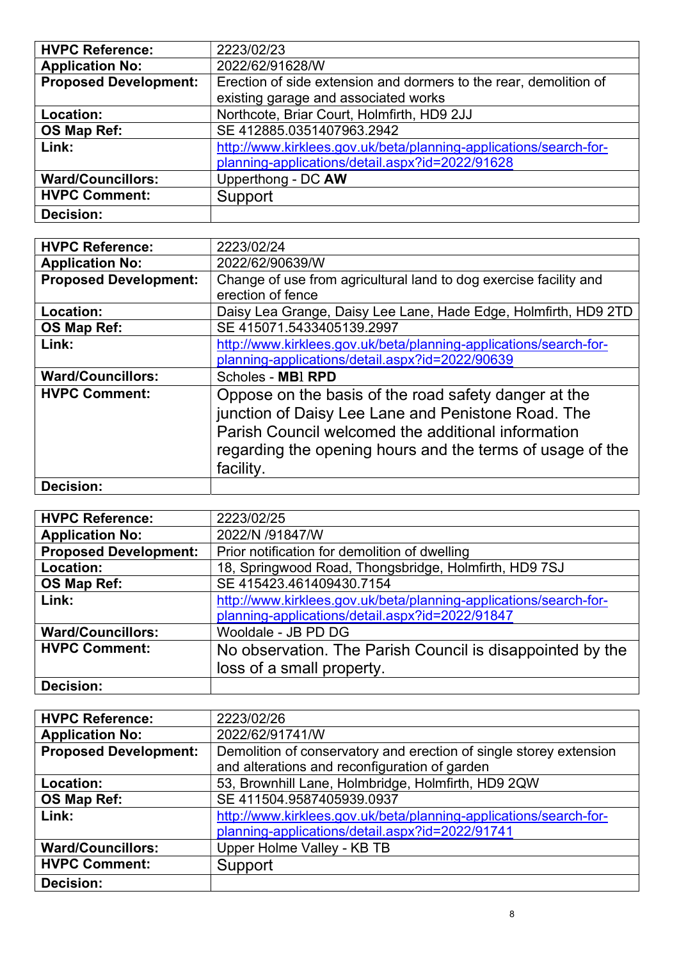| <b>HVPC Reference:</b>       | 2223/02/23                                                        |
|------------------------------|-------------------------------------------------------------------|
| <b>Application No:</b>       | 2022/62/91628/W                                                   |
| <b>Proposed Development:</b> | Erection of side extension and dormers to the rear, demolition of |
|                              | existing garage and associated works                              |
| Location:                    | Northcote, Briar Court, Holmfirth, HD9 2JJ                        |
| OS Map Ref:                  | SE 412885.0351407963.2942                                         |
| Link:                        | http://www.kirklees.gov.uk/beta/planning-applications/search-for- |
|                              | planning-applications/detail.aspx?id=2022/91628                   |
| <b>Ward/Councillors:</b>     | Upperthong - DC AW                                                |
| <b>HVPC Comment:</b>         | Support                                                           |
| Decision:                    |                                                                   |

| <b>HVPC Reference:</b>       | 2223/02/24                                                        |
|------------------------------|-------------------------------------------------------------------|
| <b>Application No:</b>       | 2022/62/90639/W                                                   |
| <b>Proposed Development:</b> | Change of use from agricultural land to dog exercise facility and |
|                              | erection of fence                                                 |
| Location:                    | Daisy Lea Grange, Daisy Lee Lane, Hade Edge, Holmfirth, HD9 2TD   |
| OS Map Ref:                  | SE 415071.5433405139.2997                                         |
| Link:                        | http://www.kirklees.gov.uk/beta/planning-applications/search-for- |
|                              | planning-applications/detail.aspx?id=2022/90639                   |
| <b>Ward/Councillors:</b>     | Scholes - MBI RPD                                                 |
| <b>HVPC Comment:</b>         | Oppose on the basis of the road safety danger at the              |
|                              | junction of Daisy Lee Lane and Penistone Road. The                |
|                              | Parish Council welcomed the additional information                |
|                              | regarding the opening hours and the terms of usage of the         |
|                              |                                                                   |
|                              | facility.                                                         |
| Decision:                    |                                                                   |

| <b>HVPC Reference:</b>       | 2223/02/25                                                        |
|------------------------------|-------------------------------------------------------------------|
| <b>Application No:</b>       | 2022/N /91847/W                                                   |
| <b>Proposed Development:</b> | Prior notification for demolition of dwelling                     |
| Location:                    | 18, Springwood Road, Thongsbridge, Holmfirth, HD9 7SJ             |
| OS Map Ref:                  | SE 415423.461409430.7154                                          |
| Link:                        | http://www.kirklees.gov.uk/beta/planning-applications/search-for- |
|                              | planning-applications/detail.aspx?id=2022/91847                   |
| <b>Ward/Councillors:</b>     | Wooldale - JB PD DG                                               |
| <b>HVPC Comment:</b>         | No observation. The Parish Council is disappointed by the         |
|                              | loss of a small property.                                         |
| <b>Decision:</b>             |                                                                   |

| <b>HVPC Reference:</b>       | 2223/02/26                                                         |
|------------------------------|--------------------------------------------------------------------|
| <b>Application No:</b>       | 2022/62/91741/W                                                    |
| <b>Proposed Development:</b> | Demolition of conservatory and erection of single storey extension |
|                              | and alterations and reconfiguration of garden                      |
| Location:                    | 53, Brownhill Lane, Holmbridge, Holmfirth, HD9 2QW                 |
| OS Map Ref:                  | SE 411504.9587405939.0937                                          |
| Link:                        | http://www.kirklees.gov.uk/beta/planning-applications/search-for-  |
|                              | planning-applications/detail.aspx?id=2022/91741                    |
| <b>Ward/Councillors:</b>     | Upper Holme Valley - KB TB                                         |
| <b>HVPC Comment:</b>         | Support                                                            |
| Decision:                    |                                                                    |